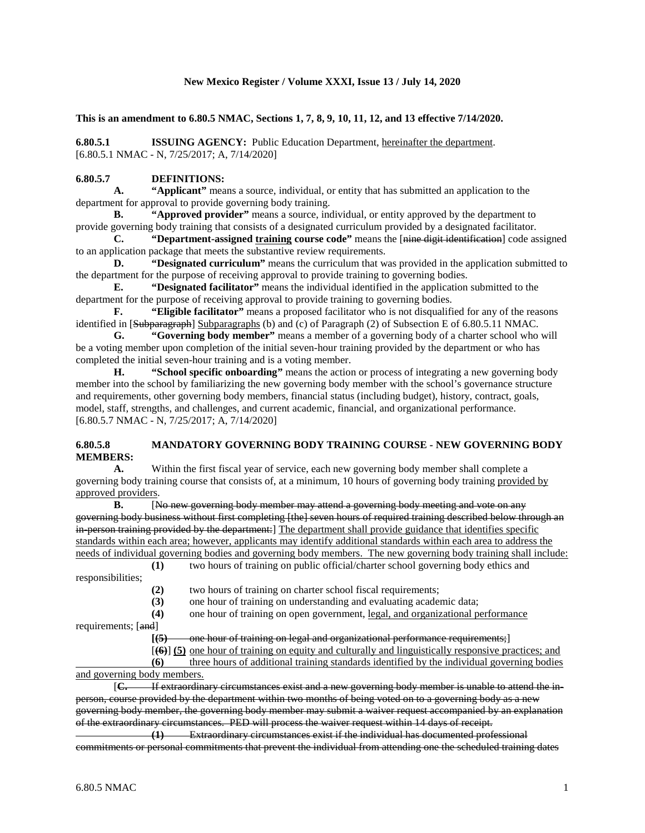#### **New Mexico Register / Volume XXXI, Issue 13 / July 14, 2020**

**This is an amendment to 6.80.5 NMAC, Sections 1, 7, 8, 9, 10, 11, 12, and 13 effective 7/14/2020.**

**6.80.5.1 ISSUING AGENCY:** Public Education Department, hereinafter the department. [6.80.5.1 NMAC - N, 7/25/2017; A, 7/14/2020]

# **6.80.5.7 DEFINITIONS:**<br>**A.** "Applicant" mea

"Applicant" means a source, individual, or entity that has submitted an application to the department for approval to provide governing body training.

**B. "Approved provider"** means a source, individual, or entity approved by the department to provide governing body training that consists of a designated curriculum provided by a designated facilitator.

**C. "Department-assigned training course code"** means the [nine digit identification] code assigned to an application package that meets the substantive review requirements.

**D. "Designated curriculum"** means the curriculum that was provided in the application submitted to the department for the purpose of receiving approval to provide training to governing bodies.

**E. "Designated facilitator"** means the individual identified in the application submitted to the department for the purpose of receiving approval to provide training to governing bodies.<br> **F.** "Eligible facilitator" means a proposed facilitator who is not disqualifi-

"Eligible facilitator" means a proposed facilitator who is not disqualified for any of the reasons identified in [Subparagraph] Subparagraphs (b) and (c) of Paragraph (2) of Subsection E of 6.80.5.11 NMAC.

**G. "Governing body member"** means a member of a governing body of a charter school who will be a voting member upon completion of the initial seven-hour training provided by the department or who has completed the initial seven-hour training and is a voting member.

**H. "School specific onboarding"** means the action or process of integrating a new governing body member into the school by familiarizing the new governing body member with the school's governance structure and requirements, other governing body members, financial status (including budget), history, contract, goals, model, staff, strengths, and challenges, and current academic, financial, and organizational performance. [6.80.5.7 NMAC - N, 7/25/2017; A, 7/14/2020]

#### **6.80.5.8 MANDATORY GOVERNING BODY TRAINING COURSE - NEW GOVERNING BODY MEMBERS:**

**A.** Within the first fiscal year of service, each new governing body member shall complete a governing body training course that consists of, at a minimum, 10 hours of governing body training provided by approved providers.

**B.** [No new governing body member may attend a governing body meeting and vote on any governing body business without first completing [the] seven hours of required training described below through an in-person training provided by the department: The department shall provide guidance that identifies specific standards within each area; however, applicants may identify additional standards within each area to address the needs of individual governing bodies and governing body members. The new governing body training shall include:

**(1)** two hours of training on public official/charter school governing body ethics and responsibilities; **(2)** two hours of training on charter school fiscal requirements;

**(3)** one hour of training on understanding and evaluating academic data;

**(4)** one hour of training on open government, legal, and organizational performance

requirements; [and]

**[(5)** one hour of training on legal and organizational performance requirements;]

[**(6)**] **(5)** one hour of training on equity and culturally and linguistically responsive practices; and

**(6)** three hours of additional training standards identified by the individual governing bodies and governing body members.

[C. If extraordinary circumstances exist and a new governing body member is unable to attend the inperson, course provided by the department within two months of being voted on to a governing body as a new governing body member, the governing body member may submit a waiver request accompanied by an explanation of the extraordinary circumstances. PED will process the waiver request within 14 days of receipt.

**(1)** Extraordinary circumstances exist if the individual has documented professional commitments or personal commitments that prevent the individual from attending one the scheduled training dates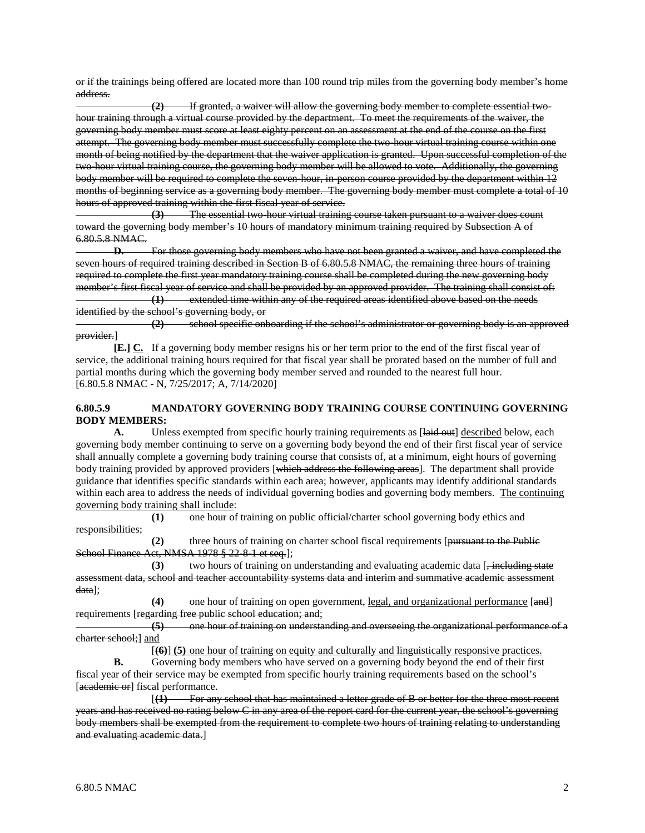or if the trainings being offered are located more than 100 round trip miles from the governing body member's home address.

**(2)** If granted, a waiver will allow the governing body member to complete essential twohour training through a virtual course provided by the department. To meet the requirements of the waiver, the governing body member must score at least eighty percent on an assessment at the end of the course on the first attempt. The governing body member must successfully complete the two-hour virtual training course within one month of being notified by the department that the waiver application is granted. Upon successful completion of the two-hour virtual training course, the governing body member will be allowed to vote. Additionally, the governing body member will be required to complete the seven-hour, in-person course provided by the department within 12 months of beginning service as a governing body member. The governing body member must complete a total of 10 hours of approved training within the first fiscal year of service.

**(3)** The essential two-hour virtual training course taken pursuant to a waiver does count toward the governing body member's 10 hours of mandatory minimum training required by Subsection A of 6.80.5.8 NMAC.

**D.** For those governing body members who have not been granted a waiver, and have completed the seven hours of required training described in Section B of 6.80.5.8 NMAC, the remaining three hours of training required to complete the first year mandatory training course shall be completed during the new governing body member's first fiscal year of service and shall be provided by an approved provider. The training shall consist of: **(1)** extended time within any of the required areas identified above based on the needs

identified by the school's governing body, or<br>
(2) school specific only **(2)** school specific onboarding if the school's administrator or governing body is an approved provider.]

**[E.] C.** If a governing body member resigns his or her term prior to the end of the first fiscal year of service, the additional training hours required for that fiscal year shall be prorated based on the number of full and partial months during which the governing body member served and rounded to the nearest full hour. [6.80.5.8 NMAC - N, 7/25/2017; A, 7/14/2020]

# **6.80.5.9 MANDATORY GOVERNING BODY TRAINING COURSE CONTINUING GOVERNING BODY MEMBERS:**

A. Unless exempted from specific hourly training requirements as [ $\frac{1}{\text{4} \cdot \text{4}}$  described below, each governing body member continuing to serve on a governing body beyond the end of their first fiscal year of service shall annually complete a governing body training course that consists of, at a minimum, eight hours of governing body training provided by approved providers [which address the following areas]. The department shall provide guidance that identifies specific standards within each area; however, applicants may identify additional standards within each area to address the needs of individual governing bodies and governing body members. The continuing governing body training shall include:

**(1)** one hour of training on public official/charter school governing body ethics and responsibilities;

**(2)** three hours of training on charter school fiscal requirements [pursuant to the Public School Finance Act, NMSA 1978 § 22-8-1 et seq.];

**(3)** two hours of training on understanding and evaluating academic data [ $\frac{1}{2}$  including state assessment data, school and teacher accountability systems data and interim and summative academic assessment data];

**(4)** one hour of training on open government, legal, and organizational performance [and] requirements [regarding free public school education; and;

**(5)** one hour of training on understanding and overseeing the organizational performance of a charter school;] and

[**(6)**] **(5)** one hour of training on equity and culturally and linguistically responsive practices.

**B.** Governing body members who have served on a governing body beyond the end of their first fiscal year of their service may be exempted from specific hourly training requirements based on the school's [academic or] fiscal performance.

[**(1)** For any school that has maintained a letter grade of B or better for the three most recent years and has received no rating below C in any area of the report card for the current year, the school's governing body members shall be exempted from the requirement to complete two hours of training relating to understanding and evaluating academic data.]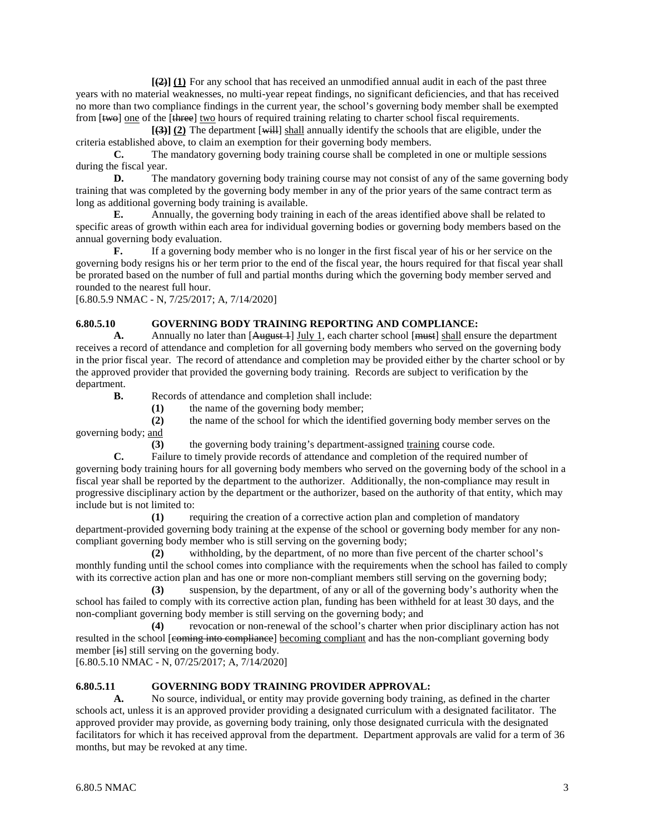**[(2)] (1)** For any school that has received an unmodified annual audit in each of the past three years with no material weaknesses, no multi-year repeat findings, no significant deficiencies, and that has received no more than two compliance findings in the current year, the school's governing body member shall be exempted from [<del>two</del>] one of the [three] two hours of required training relating to charter school fiscal requirements.

**[(3)] (2)** The department [will] shall annually identify the schools that are eligible, under the criteria established above, to claim an exemption for their governing body members.

**C.** The mandatory governing body training course shall be completed in one or multiple sessions during the fiscal year.

**D.** The mandatory governing body training course may not consist of any of the same governing body training that was completed by the governing body member in any of the prior years of the same contract term as long as additional governing body training is available.

**E.** Annually, the governing body training in each of the areas identified above shall be related to specific areas of growth within each area for individual governing bodies or governing body members based on the annual governing body evaluation.

**F.** If a governing body member who is no longer in the first fiscal year of his or her service on the governing body resigns his or her term prior to the end of the fiscal year, the hours required for that fiscal year shall be prorated based on the number of full and partial months during which the governing body member served and rounded to the nearest full hour.

[6.80.5.9 NMAC - N, 7/25/2017; A, 7/14/2020]

# **6.80.5.10 GOVERNING BODY TRAINING REPORTING AND COMPLIANCE:**

A. Annually no later than  $[A_{\text{H}}]$  July 1, each charter school [must] shall ensure the department receives a record of attendance and completion for all governing body members who served on the governing body in the prior fiscal year. The record of attendance and completion may be provided either by the charter school or by the approved provider that provided the governing body training. Records are subject to verification by the department.

**B.** Records of attendance and completion shall include:

**(1)** the name of the governing body member;

**(2)** the name of the school for which the identified governing body member serves on the governing body; and

**(3)** the governing body training's department-assigned training course code.

**C.** Failure to timely provide records of attendance and completion of the required number of governing body training hours for all governing body members who served on the governing body of the school in a fiscal year shall be reported by the department to the authorizer. Additionally, the non-compliance may result in progressive disciplinary action by the department or the authorizer, based on the authority of that entity, which may include but is not limited to:

**(1)** requiring the creation of a corrective action plan and completion of mandatory department-provided governing body training at the expense of the school or governing body member for any noncompliant governing body member who is still serving on the governing body;

**(2)** withholding, by the department, of no more than five percent of the charter school's monthly funding until the school comes into compliance with the requirements when the school has failed to comply with its corrective action plan and has one or more non-compliant members still serving on the governing body;

**(3)** suspension, by the department, of any or all of the governing body's authority when the school has failed to comply with its corrective action plan, funding has been withheld for at least 30 days, and the non-compliant governing body member is still serving on the governing body; and

**(4)** revocation or non-renewal of the school's charter when prior disciplinary action has not resulted in the school [coming into compliance] becoming compliant and has the non-compliant governing body member [is] still serving on the governing body.

[6.80.5.10 NMAC - N, 07/25/2017; A, 7/14/2020]

### **6.80.5.11 GOVERNING BODY TRAINING PROVIDER APPROVAL:**

**A.** No source, individual, or entity may provide governing body training, as defined in the charter schools act, unless it is an approved provider providing a designated curriculum with a designated facilitator. The approved provider may provide, as governing body training, only those designated curricula with the designated facilitators for which it has received approval from the department. Department approvals are valid for a term of 36 months, but may be revoked at any time.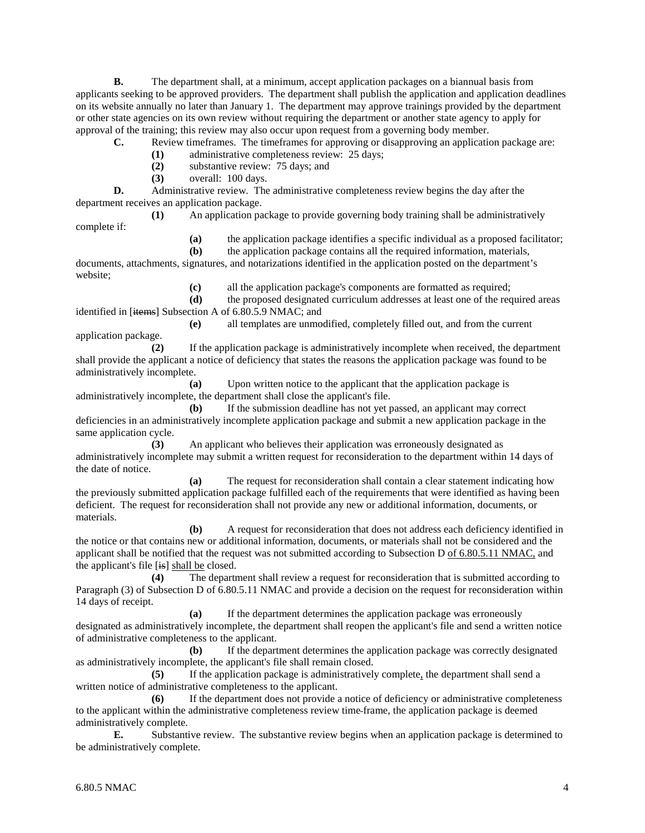**B.** The department shall, at a minimum, accept application packages on a biannual basis from applicants seeking to be approved providers. The department shall publish the application and application deadlines on its website annually no later than January 1. The department may approve trainings provided by the department or other state agencies on its own review without requiring the department or another state agency to apply for approval of the training; this review may also occur upon request from a governing body member.

**C.** Review timeframes. The timeframes for approving or disapproving an application package are:

**(1)** administrative completeness review: 25 days;

**(2)** substantive review: 75 days; and

**(3)** overall: 100 days.

**D.** Administrative review. The administrative completeness review begins the day after the department receives an application package.

**(1)** An application package to provide governing body training shall be administratively

complete if:

**(a)** the application package identifies a specific individual as a proposed facilitator;

**(b)** the application package contains all the required information, materials,

documents, attachments, signatures, and notarizations identified in the application posted on the department's website;

**(c)** all the application package's components are formatted as required;

**(d)** the proposed designated curriculum addresses at least one of the required areas identified in [items] Subsection A of 6.80.5.9 NMAC; and **(e)** all templates are unmodified, completely filled out, and from the current

application package. **(2)** If the application package is administratively incomplete when received, the department

shall provide the applicant a notice of deficiency that states the reasons the application package was found to be administratively incomplete.

**(a)** Upon written notice to the applicant that the application package is administratively incomplete, the department shall close the applicant's file.

**(b)** If the submission deadline has not yet passed, an applicant may correct deficiencies in an administratively incomplete application package and submit a new application package in the same application cycle.

**(3)** An applicant who believes their application was erroneously designated as administratively incomplete may submit a written request for reconsideration to the department within 14 days of the date of notice.

**(a)** The request for reconsideration shall contain a clear statement indicating how the previously submitted application package fulfilled each of the requirements that were identified as having been deficient. The request for reconsideration shall not provide any new or additional information, documents, or materials.

**(b)** A request for reconsideration that does not address each deficiency identified in the notice or that contains new or additional information, documents, or materials shall not be considered and the applicant shall be notified that the request was not submitted according to Subsection D of 6.80.5.11 NMAC, and the applicant's file [is] shall be closed.

**(4)** The department shall review a request for reconsideration that is submitted according to Paragraph (3) of Subsection D of 6.80.5.11 NMAC and provide a decision on the request for reconsideration within 14 days of receipt.

**(a)** If the department determines the application package was erroneously designated as administratively incomplete, the department shall reopen the applicant's file and send a written notice of administrative completeness to the applicant.

**(b)** If the department determines the application package was correctly designated as administratively incomplete, the applicant's file shall remain closed.

**(5)** If the application package is administratively complete, the department shall send a written notice of administrative completeness to the applicant.

**(6)** If the department does not provide a notice of deficiency or administrative completeness to the applicant within the administrative completeness review time frame, the application package is deemed administratively complete.

**E.** Substantive review. The substantive review begins when an application package is determined to be administratively complete.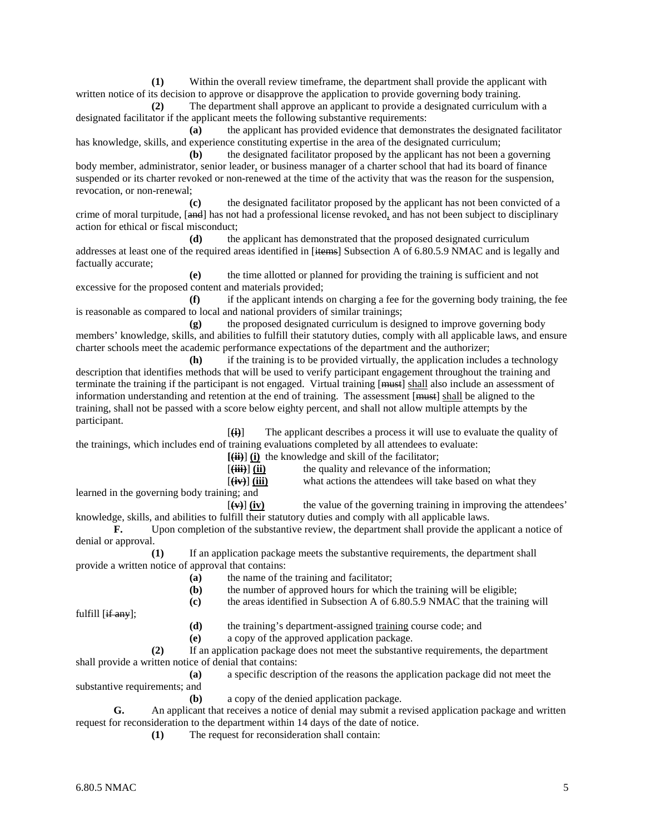**(1)** Within the overall review timeframe, the department shall provide the applicant with written notice of its decision to approve or disapprove the application to provide governing body training.

**(2)** The department shall approve an applicant to provide a designated curriculum with a designated facilitator if the applicant meets the following substantive requirements:

**(a)** the applicant has provided evidence that demonstrates the designated facilitator has knowledge, skills, and experience constituting expertise in the area of the designated curriculum;

**(b)** the designated facilitator proposed by the applicant has not been a governing body member, administrator, senior leader, or business manager of a charter school that had its board of finance suspended or its charter revoked or non-renewed at the time of the activity that was the reason for the suspension, revocation, or non-renewal;

**(c)** the designated facilitator proposed by the applicant has not been convicted of a crime of moral turpitude, [and] has not had a professional license revoked, and has not been subject to disciplinary action for ethical or fiscal misconduct;

**(d)** the applicant has demonstrated that the proposed designated curriculum addresses at least one of the required areas identified in [items] Subsection A of 6.80.5.9 NMAC and is legally and factually accurate;

**(e)** the time allotted or planned for providing the training is sufficient and not excessive for the proposed content and materials provided;

**(f)** if the applicant intends on charging a fee for the governing body training, the fee is reasonable as compared to local and national providers of similar trainings;

**(g)** the proposed designated curriculum is designed to improve governing body members' knowledge, skills, and abilities to fulfill their statutory duties, comply with all applicable laws, and ensure charter schools meet the academic performance expectations of the department and the authorizer;

**(h)** if the training is to be provided virtually, the application includes a technology description that identifies methods that will be used to verify participant engagement throughout the training and terminate the training if the participant is not engaged. Virtual training [must] shall also include an assessment of information understanding and retention at the end of training. The assessment [must] shall be aligned to the training, shall not be passed with a score below eighty percent, and shall not allow multiple attempts by the participant.

[**(i)**] The applicant describes a process it will use to evaluate the quality of the trainings, which includes end of training evaluations completed by all attendees to evaluate:

| $\left[\left(\frac{ii}{ii}\right)\right]$ (i) the knowledge and skill of the facilitator; |                                                         |
|-------------------------------------------------------------------------------------------|---------------------------------------------------------|
| $[\overrightarrow{(\mathbf{iii})}]\overrightarrow{(\mathbf{ii})}$                         | the quality and relevance of the information;           |
| $[(iv)]$ (iii)                                                                            | what actions the attendees will take based on what they |

learned in the governing body training; and

 $[\psi]$  (iv) the value of the governing training in improving the attendees' knowledge, skills, and abilities to fulfill their statutory duties and comply with all applicable laws.

**F.** Upon completion of the substantive review, the department shall provide the applicant a notice of denial or approval.

**(1)** If an application package meets the substantive requirements, the department shall provide a written notice of approval that contains:

- **(a)** the name of the training and facilitator;
- **(b)** the number of approved hours for which the training will be eligible;
- **(c)** the areas identified in Subsection A of 6.80.5.9 NMAC that the training will

fulfill [if any];

- **(d)** the training's department-assigned training course code; and
- **(e)** a copy of the approved application package.

**(2)** If an application package does not meet the substantive requirements, the department shall provide a written notice of denial that contains:

**(a)** a specific description of the reasons the application package did not meet the substantive requirements; and

**(b)** a copy of the denied application package.

**G.** An applicant that receives a notice of denial may submit a revised application package and written request for reconsideration to the department within 14 days of the date of notice.

**(1)** The request for reconsideration shall contain: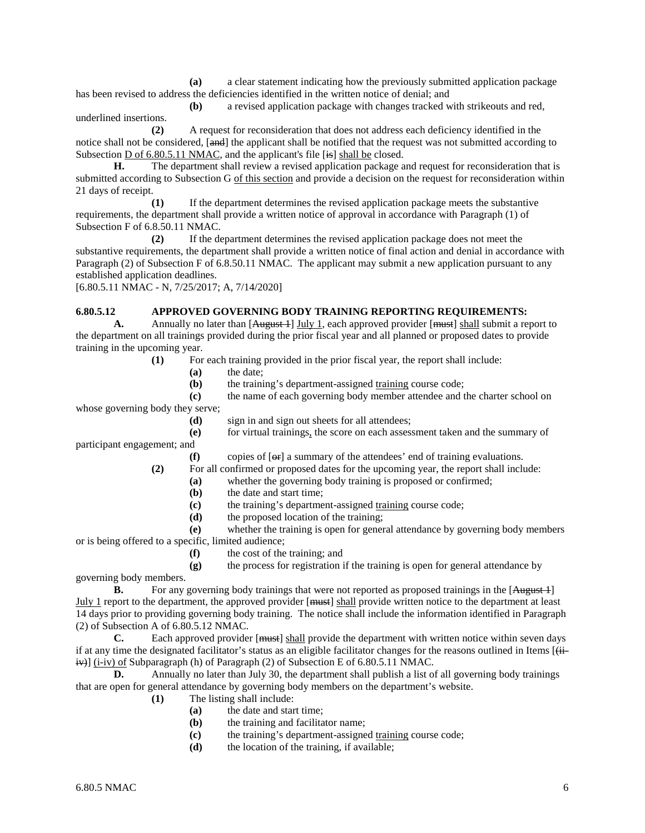**(a)** a clear statement indicating how the previously submitted application package has been revised to address the deficiencies identified in the written notice of denial; and

**(b)** a revised application package with changes tracked with strikeouts and red, underlined insertions.

**(2)** A request for reconsideration that does not address each deficiency identified in the notice shall not be considered, [and] the applicant shall be notified that the request was not submitted according to Subsection D of 6.80.5.11 NMAC, and the applicant's file [is] shall be closed.

**H.** The department shall review a revised application package and request for reconsideration that is submitted according to Subsection G of this section and provide a decision on the request for reconsideration within 21 days of receipt.

**(1)** If the department determines the revised application package meets the substantive requirements, the department shall provide a written notice of approval in accordance with Paragraph (1) of Subsection F of 6.8.50.11 NMAC.

**(2)** If the department determines the revised application package does not meet the substantive requirements, the department shall provide a written notice of final action and denial in accordance with Paragraph (2) of Subsection F of 6.8.50.11 NMAC. The applicant may submit a new application pursuant to any established application deadlines.

[6.80.5.11 NMAC - N, 7/25/2017; A, 7/14/2020]

### **6.80.5.12 APPROVED GOVERNING BODY TRAINING REPORTING REQUIREMENTS:**

A. Annually no later than [August 4] July 1, each approved provider [must] shall submit a report to the department on all trainings provided during the prior fiscal year and all planned or proposed dates to provide training in the upcoming year.

**(1)** For each training provided in the prior fiscal year, the report shall include:

**(a)** the date;

**(b)** the training's department-assigned training course code;

**(c)** the name of each governing body member attendee and the charter school on whose governing body they serve;

**(d)** sign in and sign out sheets for all attendees;

**(e)** for virtual trainings, the score on each assessment taken and the summary of participant engagement; and

**(f)** copies of [or] a summary of the attendees' end of training evaluations.

**(2)** For all confirmed or proposed dates for the upcoming year, the report shall include:

- **(a)** whether the governing body training is proposed or confirmed;
	- **(b)** the date and start time;
	- **(c)** the training's department-assigned training course code;
	- **(d)** the proposed location of the training;
- **(e)** whether the training is open for general attendance by governing body members or is being offered to a specific, limited audience;
	- **(f)** the cost of the training; and

**(g)** the process for registration if the training is open for general attendance by governing body members.

**B.** For any governing body trainings that were not reported as proposed trainings in the [August 1] July 1 report to the department, the approved provider [must] shall provide written notice to the department at least 14 days prior to providing governing body training. The notice shall include the information identified in Paragraph (2) of Subsection A of  $6.80.5.12$  NMAC.<br>C. Each approved provide

Each approved provider [<del>must</del>] shall provide the department with written notice within seven days if at any time the designated facilitator's status as an eligible facilitator changes for the reasons outlined in Items  $[\ddot{ii}$ iv)] (i-iv) of Subparagraph (h) of Paragraph (2) of Subsection E of 6.80.5.11 NMAC.

**D.** Annually no later than July 30, the department shall publish a list of all governing body trainings that are open for general attendance by governing body members on the department's website.

- **(1)** The listing shall include:
	- **(a)** the date and start time;
	- **(b)** the training and facilitator name;
	- **(c)** the training's department-assigned training course code;
	- **(d)** the location of the training, if available;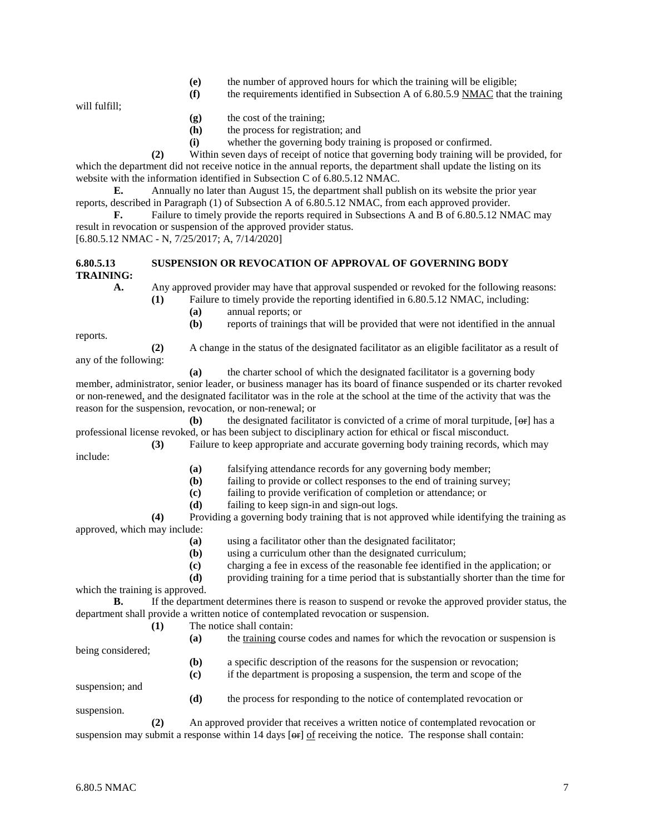- **(e)** the number of approved hours for which the training will be eligible;
- **(f)** the requirements identified in Subsection A of 6.80.5.9 NMAC that the training

will fulfill;

- **(g)** the cost of the training;
- **(h)** the process for registration; and
- **(i)** whether the governing body training is proposed or confirmed.

**(2)** Within seven days of receipt of notice that governing body training will be provided, for which the department did not receive notice in the annual reports, the department shall update the listing on its website with the information identified in Subsection C of 6.80.5.12 NMAC.

**E.** Annually no later than August 15, the department shall publish on its website the prior year reports, described in Paragraph (1) of Subsection A of 6.80.5.12 NMAC, from each approved provider.

**F.** Failure to timely provide the reports required in Subsections A and B of 6.80.5.12 NMAC may result in revocation or suspension of the approved provider status. [6.80.5.12 NMAC - N, 7/25/2017; A, 7/14/2020]

# **6.80.5.13 SUSPENSION OR REVOCATION OF APPROVAL OF GOVERNING BODY**

**TRAINING:**

**A.** Any approved provider may have that approval suspended or revoked for the following reasons:

- **(1)** Failure to timely provide the reporting identified in 6.80.5.12 NMAC, including:
	- **(a)** annual reports; or
	- **(b)** reports of trainings that will be provided that were not identified in the annual

reports.

any of the following:

**(2)** A change in the status of the designated facilitator as an eligible facilitator as a result of

**(a)** the charter school of which the designated facilitator is a governing body member, administrator, senior leader, or business manager has its board of finance suspended or its charter revoked or non-renewed, and the designated facilitator was in the role at the school at the time of the activity that was the reason for the suspension, revocation, or non-renewal; or

**(b)** the designated facilitator is convicted of a crime of moral turpitude,  $[\Theta_f^{\dagger}]$  has a professional license revoked, or has been subject to disciplinary action for ethical or fiscal misconduct.

**(3)** Failure to keep appropriate and accurate governing body training records, which may include:

- **(a)** falsifying attendance records for any governing body member;
- **(b)** failing to provide or collect responses to the end of training survey;
- **(c)** failing to provide verification of completion or attendance; or
- **(d)** failing to keep sign-in and sign-out logs.

**(4)** Providing a governing body training that is not approved while identifying the training as approved, which may include:

- **(a)** using a facilitator other than the designated facilitator;
- **(b)** using a curriculum other than the designated curriculum;
- **(c)** charging a fee in excess of the reasonable fee identified in the application; or
- **(d)** providing training for a time period that is substantially shorter than the time for

which the training is approved.

**B.** If the department determines there is reason to suspend or revoke the approved provider status, the department shall provide a written notice of contemplated revocation or suspension.

- **(1)** The notice shall contain:
	- **(a)** the training course codes and names for which the revocation or suspension is
	- **(b)** a specific description of the reasons for the suspension or revocation;
	- **(c)** if the department is proposing a suspension, the term and scope of the

suspension; and

being considered;

**(d)** the process for responding to the notice of contemplated revocation or suspension.

**(2)** An approved provider that receives a written notice of contemplated revocation or suspension may submit a response within 14 days  $[**or**]$  of receiving the notice. The response shall contain: